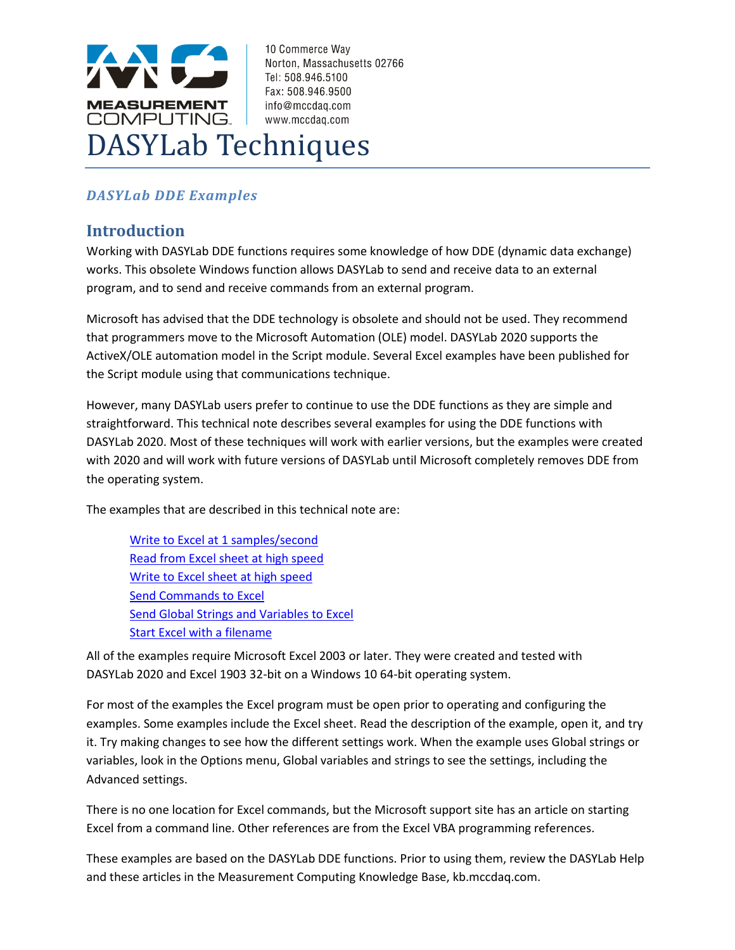

### *DASYLab DDE Examples*

#### **Introduction**

Working with DASYLab DDE functions requires some knowledge of how DDE (dynamic data exchange) works. This obsolete Windows function allows DASYLab to send and receive data to an external program, and to send and receive commands from an external program.

Microsoft has advised that the DDE technology is obsolete and should not be used. They recommend that programmers move to the Microsoft Automation (OLE) model. DASYLab 2020 supports the ActiveX/OLE automation model in the Script module. Several Excel examples have been published for the Script module using that communications technique.

However, many DASYLab users prefer to continue to use the DDE functions as they are simple and straightforward. This technical note describes several examples for using the DDE functions with DASYLab 2020. Most of these techniques will work with earlier versions, but the examples were created with 2020 and will work with future versions of DASYLab until Microsoft completely removes DDE from the operating system.

The examples that are described in this technical note are:

[Write to Excel at 1 samples/second](#page-3-0) [Read from Excel sheet at high speed](#page-7-0) [Write to Excel sheet at high speed](#page-8-0) [Send Commands to Excel](#page-9-0) [Send Global Strings and Variables to Excel](#page-9-1) [Start Excel with a filename](#page-10-0)

All of the examples require Microsoft Excel 2003 or later. They were created and tested with DASYLab 2020 and Excel 1903 32-bit on a Windows 10 64-bit operating system.

For most of the examples the Excel program must be open prior to operating and configuring the examples. Some examples include the Excel sheet. Read the description of the example, open it, and try it. Try making changes to see how the different settings work. When the example uses Global strings or variables, look in the Options menu, Global variables and strings to see the settings, including the Advanced settings.

There is no one location for Excel commands, but the Microsoft support site has an article on starting Excel from a command line. Other references are from the Excel VBA programming references.

These examples are based on the DASYLab DDE functions. Prior to using them, review the DASYLab Help and these articles in the Measurement Computing Knowledge Base, kb.mccdaq.com.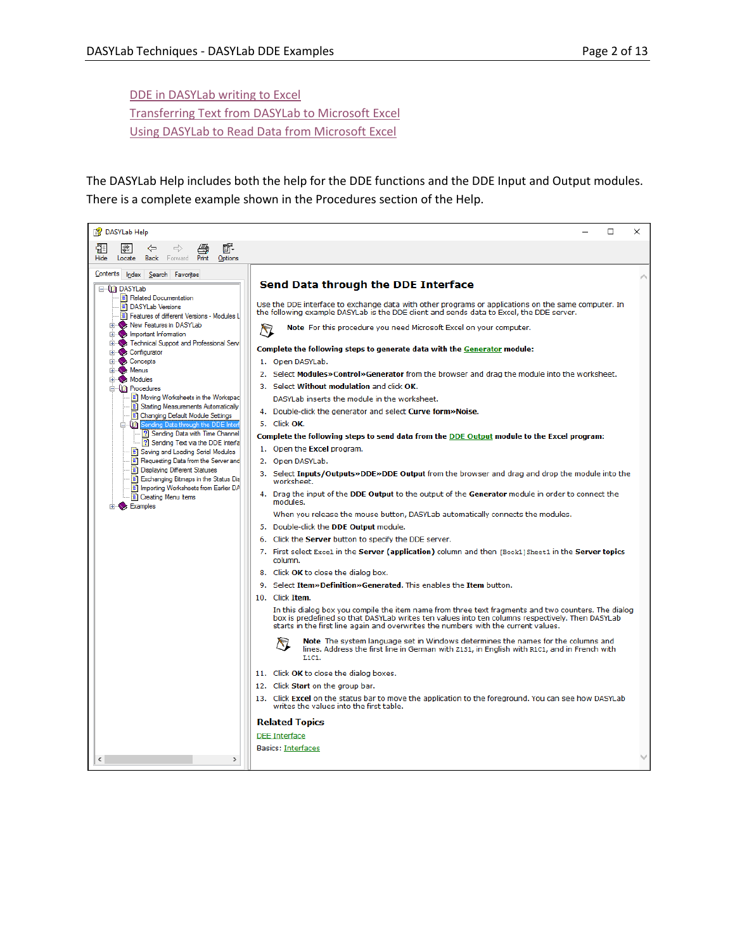DDE in DASYLab [writing to Excel](http://kb.mccdaq.com/KnowledgebaseArticle50218.aspx?Keywords=dasylab+dde) [Transferring Text from](http://kb.mccdaq.com/KnowledgebaseArticle50307.aspx?Keywords=dasylab+dde) DASYLab to Microsoft Excel Using DASYLab [to Read Data from Microsoft Excel](http://kb.mccdaq.com/KnowledgebaseArticle50312.aspx?Keywords=dasylab+dde)

The DASYLab Help includes both the help for the DDE functions and the DDE Input and Output modules. There is a complete example shown in the Procedures section of the Help.

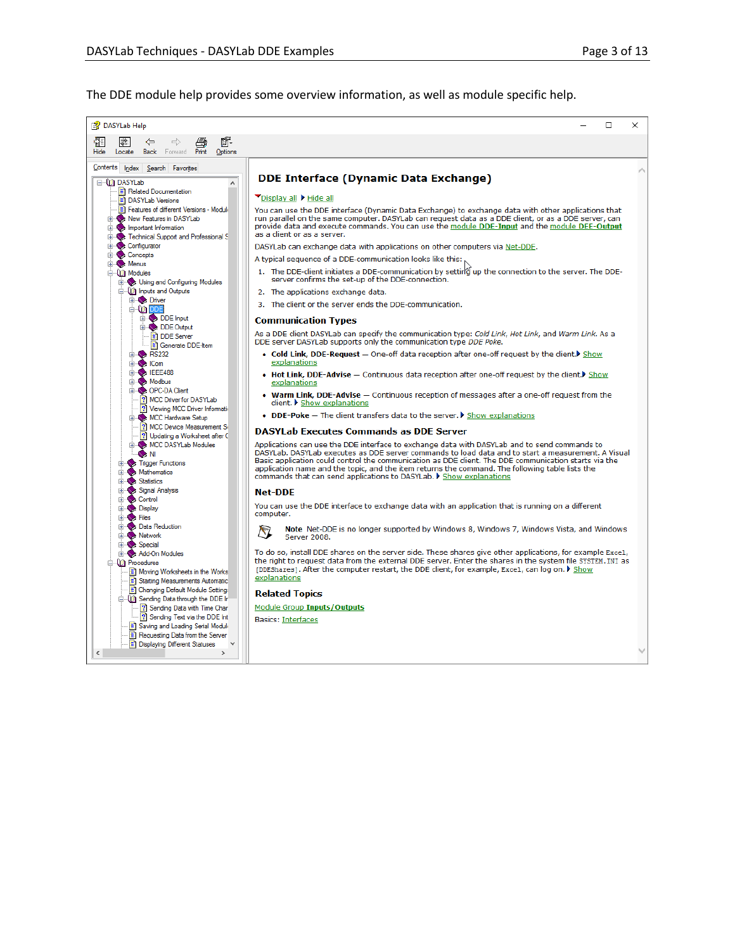The DDE module help provides some overview information, as well as module specific help.

| 图 DASYLab Help                                                                                                                           | П                                                                                                                                                                                                                                                                                                                                                                                                                                                                                     | $\times$ |
|------------------------------------------------------------------------------------------------------------------------------------------|---------------------------------------------------------------------------------------------------------------------------------------------------------------------------------------------------------------------------------------------------------------------------------------------------------------------------------------------------------------------------------------------------------------------------------------------------------------------------------------|----------|
| Ũ.<br>₩<br>鬊<br>⇦<br>$\Rightarrow$<br><b>Back</b> Forward <b>Print</b><br>Hide<br>Options<br>Locate                                      |                                                                                                                                                                                                                                                                                                                                                                                                                                                                                       |          |
| Contents Index Search Favorites<br>⊟ <b>MD</b> DASYLab<br>$\hat{\phantom{a}}$                                                            | <b>DDE Interface (Dynamic Data Exchange)</b>                                                                                                                                                                                                                                                                                                                                                                                                                                          |          |
| Related Documentation<br>DASYLab Versions                                                                                                | Display all Hide all                                                                                                                                                                                                                                                                                                                                                                                                                                                                  |          |
| Features of different Versions - Moduli<br>New Features in DASYLab<br>E Important Information<br>Technical Support and Professional S    | You can use the DDE interface (Dynamic Data Exchange) to exchange data with other applications that<br>run parallel on the same computer. DASYLab can request data as a DDE client, or as a DDE server, can<br>provide data and execute commands. You can use the module DDE-Input and the module DEE-Output<br>as a client or as a server.                                                                                                                                           |          |
| <b>Elles Configurator</b>                                                                                                                | DASYLab can exchange data with applications on other computers via Net-DDE.                                                                                                                                                                                                                                                                                                                                                                                                           |          |
| El-Concepts<br>El-S <sub>2</sub> Menus                                                                                                   | A typical sequence of a DDE-communication looks like this:                                                                                                                                                                                                                                                                                                                                                                                                                            |          |
| <b>⊟ UD</b> Modules<br>E Vising and Configuring Modules                                                                                  | 1. The DDE-client initiates a DDE-communication by setting up the connection to the server. The DDE-<br>server confirms the set-up of the DDE-connection.                                                                                                                                                                                                                                                                                                                             |          |
| in City Inputs and Outputs                                                                                                               | 2. The applications exchange data.                                                                                                                                                                                                                                                                                                                                                                                                                                                    |          |
| <b>Ei</b> Driver<br><b>ODDE</b>                                                                                                          | 3. The client or the server ends the DDE-communication.                                                                                                                                                                                                                                                                                                                                                                                                                               |          |
| <b>E</b> DDE Input                                                                                                                       | <b>Communication Types</b>                                                                                                                                                                                                                                                                                                                                                                                                                                                            |          |
| El- <b>DDE Output</b><br>DDE Server<br>Generate DDE-Item                                                                                 | As a DDE client DASYLab can specify the communication type: Cold Link, Hot Link, and Warm Link. As a<br>DDE server DASYLab supports only the communication type DDE Poke.                                                                                                                                                                                                                                                                                                             |          |
| $\overline{H}$ RS232<br><b>El-</b> Com                                                                                                   | • Cold Link, DDE-Request - One-off data reception after one-off request by the client. Show<br>explanations                                                                                                                                                                                                                                                                                                                                                                           |          |
| 由 IEEE488<br>E Modbus                                                                                                                    | • Hot Link, DDE-Advise - Continuous data reception after one-off request by the client. Show<br>explanations                                                                                                                                                                                                                                                                                                                                                                          |          |
| <b>E</b> OPC-DA Client<br><b>2</b> MCC Driver for DASYLab<br>? Viewing MCC Driver Information                                            | • Warm Link, DDE-Advise - Continuous reception of messages after a one-off request from the<br>client. ▶ Show explanations                                                                                                                                                                                                                                                                                                                                                            |          |
| <b>EDIRECT MCC Hardware Setup</b>                                                                                                        | • DDE-Poke - The client transfers data to the server. I Show explanations                                                                                                                                                                                                                                                                                                                                                                                                             |          |
| ? MCC Device Measurement Si<br>? Updating a Worksheet after C                                                                            | <b>DASYLab Executes Commands as DDE Server</b>                                                                                                                                                                                                                                                                                                                                                                                                                                        |          |
| <b>EDISTING MCC DASYLab Modules</b><br><b>ON</b><br><b>Ellisty</b> : Trigger Functions<br><b>E</b> Mathematics<br>El Statistics          | Applications can use the DDE interface to exchange data with DASYLab and to send commands to<br>DASYLab. DASYLab executes as DDE server commands to load data and to start a measurement. A Visual<br>Basic application could control the communication as DDE client. The DDE communication starts via the<br>application name and the topic, and the item returns the command. The following table lists the<br>commands that can send applications to DASYLab. ▶ Show explanations |          |
| El-Sa Signal Analysis                                                                                                                    | <b>Net-DDE</b>                                                                                                                                                                                                                                                                                                                                                                                                                                                                        |          |
| <b>Ellis Control</b><br><b>E</b> Display<br><b>E</b> Serve Files                                                                         | You can use the DDE interface to exchange data with an application that is running on a different<br>computer.                                                                                                                                                                                                                                                                                                                                                                        |          |
| Data Reduction<br><b>A</b> Network                                                                                                       | Note Net-DDE is no longer supported by Windows 8, Windows 7, Windows Vista, and Windows<br>/ 7<br>Server 2008.                                                                                                                                                                                                                                                                                                                                                                        |          |
| E Special<br><b>E-Strandard Add-On Modules</b><br><b>Procedures</b><br>Moving Worksheets in the Works<br>Starting Measurements Automatic | To do so, install DDE shares on the server side. These shares give other applications, for example Excel,<br>the right to request data from the external DDE server. Enter the shares in the system file SYSTEM. INI as<br>[DDEShares]. After the computer restart, the DDE client, for example, Excel, can log on. ▶ Show<br>explanations                                                                                                                                            |          |
| Changing Default Module Setting:                                                                                                         | <b>Related Topics</b>                                                                                                                                                                                                                                                                                                                                                                                                                                                                 |          |
| in (ii) Sending Data through the DDE Ir<br>? Sending Data with Time Char                                                                 | Module Group Inputs/Outputs                                                                                                                                                                                                                                                                                                                                                                                                                                                           |          |
| ? Sending Text via the DDE Int                                                                                                           | <b>Basics: Interfaces</b>                                                                                                                                                                                                                                                                                                                                                                                                                                                             |          |
| Saving and Loading Serial Module<br>Requesting Data from the Server                                                                      |                                                                                                                                                                                                                                                                                                                                                                                                                                                                                       |          |
| Displaying Different Statuses                                                                                                            |                                                                                                                                                                                                                                                                                                                                                                                                                                                                                       |          |
| ⋖∥<br>$\rightarrow$                                                                                                                      |                                                                                                                                                                                                                                                                                                                                                                                                                                                                                       |          |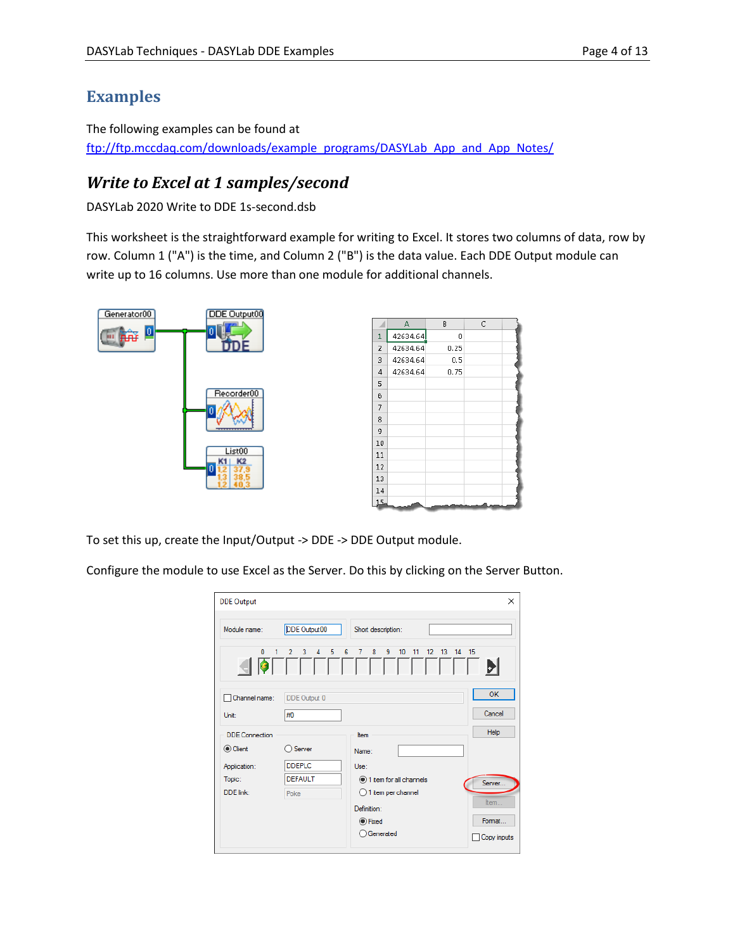# **Examples**

The following examples can be found at [ftp://ftp.mccdaq.com/downloads/example\\_programs/DASYLab\\_App\\_and\\_App\\_Notes/](ftp://ftp.mccdaq.com/downloads/example_programs/DASYLab_App_and_App_Notes/)

# <span id="page-3-0"></span>*Write to Excel at 1 samples/second*

DASYLab 2020 Write to DDE 1s-second.dsb

This worksheet is the straightforward example for writing to Excel. It stores two columns of data, row by row. Column 1 ("A") is the time, and Column 2 ("B") is the data value. Each DDE Output module can write up to 16 columns. Use more than one module for additional channels.





To set this up, create the Input/Output -> DDE -> DDE Output module.

Configure the module to use Excel as the Server. Do this by clicking on the Server Button.

| <b>DDE Output</b>     |                                    |                                                                                             | X           |
|-----------------------|------------------------------------|---------------------------------------------------------------------------------------------|-------------|
| Module name:          | DDE Output00                       | Short description:                                                                          |             |
| $\mathbf{0}$          | 5<br>$\overline{2}$<br>3<br>4<br>1 | 6<br>8<br>9<br>10<br>11<br>13<br>14 15<br>7<br>12 <sup>2</sup><br>, , , , , , , , , , , , , | DI          |
| Channel name:         | DDE Output 0                       |                                                                                             | <b>OK</b>   |
| Unit:                 | #0                                 |                                                                                             | Cancel      |
| <b>DDE</b> Connection |                                    | <b>Item</b>                                                                                 | Help        |
| Client                | Server                             | Name:                                                                                       |             |
| Application:          | DDEPLC.                            | Use:                                                                                        |             |
| Topic:                | <b>DEFAULT</b>                     | 1 item for all channels                                                                     | Server      |
| DDE link:             | Poke                               | $\bigcirc$ 1 item per channel                                                               |             |
|                       |                                    | Definition:                                                                                 | Item        |
|                       |                                    | <b>◎</b> Fixed                                                                              | Format      |
|                       |                                    | ◯ Generated                                                                                 | Copy inputs |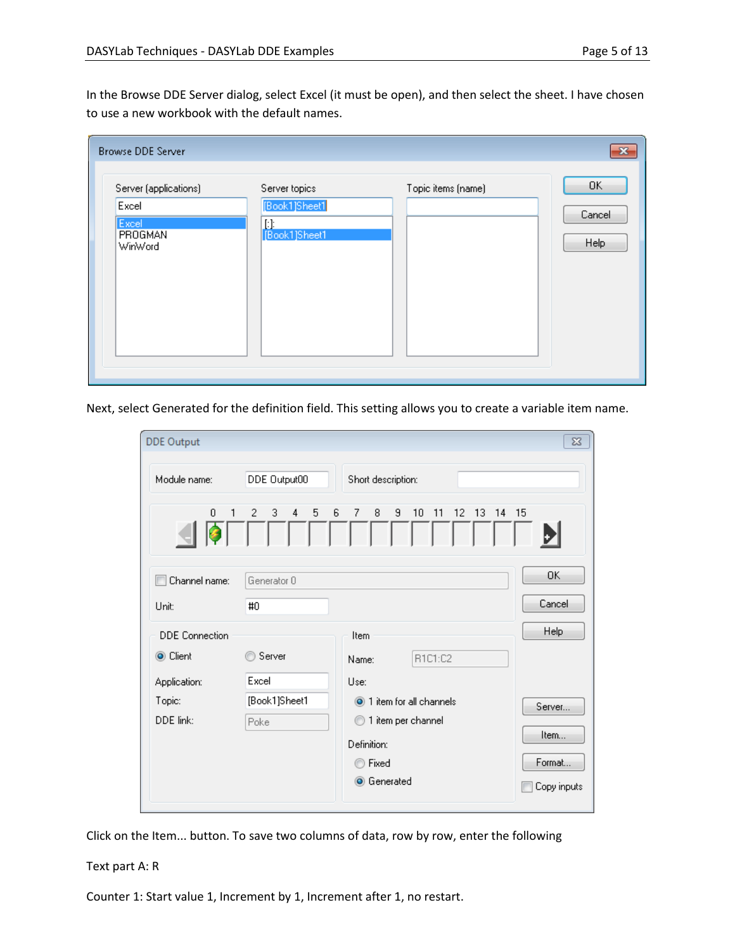In the Browse DDE Server dialog, select Excel (it must be open), and then select the sheet. I have chosen to use a new workbook with the default names.

| <b>Browse DDE Server</b>                                      |                                                        |                    | $\mathbf{x}$                |
|---------------------------------------------------------------|--------------------------------------------------------|--------------------|-----------------------------|
| Server (applications)<br>Excel<br>Excel<br>PROGMAN<br>WinWord | Server topics<br>[Book1]Sheet1<br>Ŀŀ.<br>[Book1]Sheet1 | Topic items (name) | 0K<br>Cancel<br><b>Help</b> |

Next, select Generated for the definition field. This setting allows you to create a variable item name.

| <b>DDE Output</b>     |                                    |                                           | $\Sigma$    |
|-----------------------|------------------------------------|-------------------------------------------|-------------|
| Module name:          | DDE Output00                       | Short description:                        |             |
| 0<br>1                | 3<br>$\overline{2}$<br>4<br>5<br>6 | 9<br>7<br>8<br>10<br>11<br>12<br>13<br>14 | 15          |
| Channel name:         | Generator 0                        |                                           | OK          |
| Unit:                 | #0                                 |                                           | Cancel      |
| <b>DDE</b> Connection |                                    | Item                                      | <b>Help</b> |
| ◉ Client              | Server                             | R1C1:C2<br>Name:                          |             |
| Application:          | Excel                              | Use:                                      |             |
| Topic:                | [Book1]Sheet1                      | 1 item for all channels                   | Server      |
| DDE link:             | Poke                               | 1 item per channel<br>⊙                   |             |
|                       |                                    | Definition:                               | Item        |
|                       |                                    | Fixed<br>m                                | Format      |
|                       |                                    | <b>O</b> Generated                        | Copy inputs |

Click on the Item... button. To save two columns of data, row by row, enter the following

#### Text part A: R

Counter 1: Start value 1, Increment by 1, Increment after 1, no restart.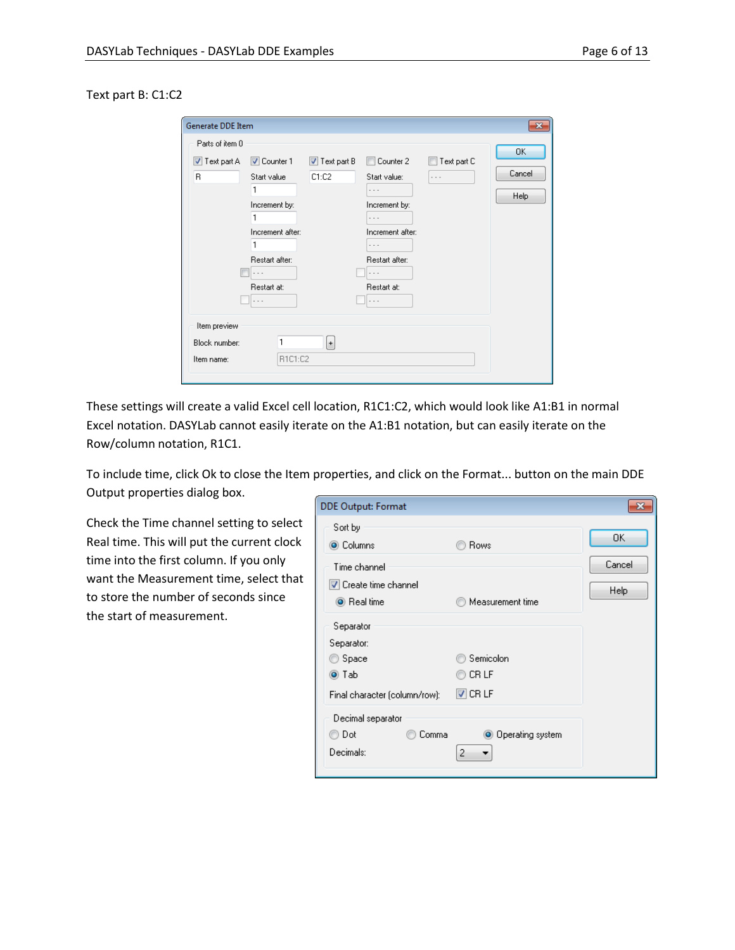#### Text part B: C1:C2

| Generate DDE Item                                         |                                                                                                                                                      |                                      |                                                                                                                                          |             | $\overline{\mathbf{x}}$     |
|-----------------------------------------------------------|------------------------------------------------------------------------------------------------------------------------------------------------------|--------------------------------------|------------------------------------------------------------------------------------------------------------------------------------------|-------------|-----------------------------|
| Parts of item 0<br>$\blacktriangledown$ Text part A<br>B. | <b>V</b> Counter 1<br>Start value<br>Increment by:<br>Increment after:<br>Restart after:<br>$\overline{\phantom{a}}$<br>Restart at:<br>$\sim$ $\sim$ | $\triangledown$ Text part B<br>C1:C2 | Counter 2<br>Start value:<br>.<br>Increment by:<br>$\cdots$<br>Increment after:<br>Restart after:<br>$\sim$ $\sim$<br>Restart at:<br>. . | Text part C | 0K<br>Cancel<br><b>Help</b> |
| Item preview<br>Block number:<br>Item name:               | 1<br>R1C1:C2                                                                                                                                         | $\left  \cdot \right $               |                                                                                                                                          |             |                             |

These settings will create a valid Excel cell location, R1C1:C2, which would look like A1:B1 in normal Excel notation. DASYLab cannot easily iterate on the A1:B1 notation, but can easily iterate on the Row/column notation, R1C1.

To include time, click Ok to close the Item properties, and click on the Format... button on the main DDE Output properties dialog box.

Check the Time channel setting to select Real time. This will put the current clock time into the first column. If you only want the Measurement time, select that to store the number of seconds since the start of measurement.

| DDE Output: Format                             |                         |        |
|------------------------------------------------|-------------------------|--------|
| Sort by<br>◉ Columns                           | Rows                    | OK     |
| Time channel                                   |                         | Cancel |
| <b>V</b> Create time channel<br>◉ Real time    | Measurement time        | Help   |
| Separator<br>Separator:                        |                         |        |
| Space                                          | Semicolon               |        |
| ◉ Tab                                          | CR LF                   |        |
| Final character (column/row):                  | $\triangledown$ CR LF   |        |
| Decimal separator<br>Dot<br>Comma<br>Decimals: | ◉ Operating system<br>2 |        |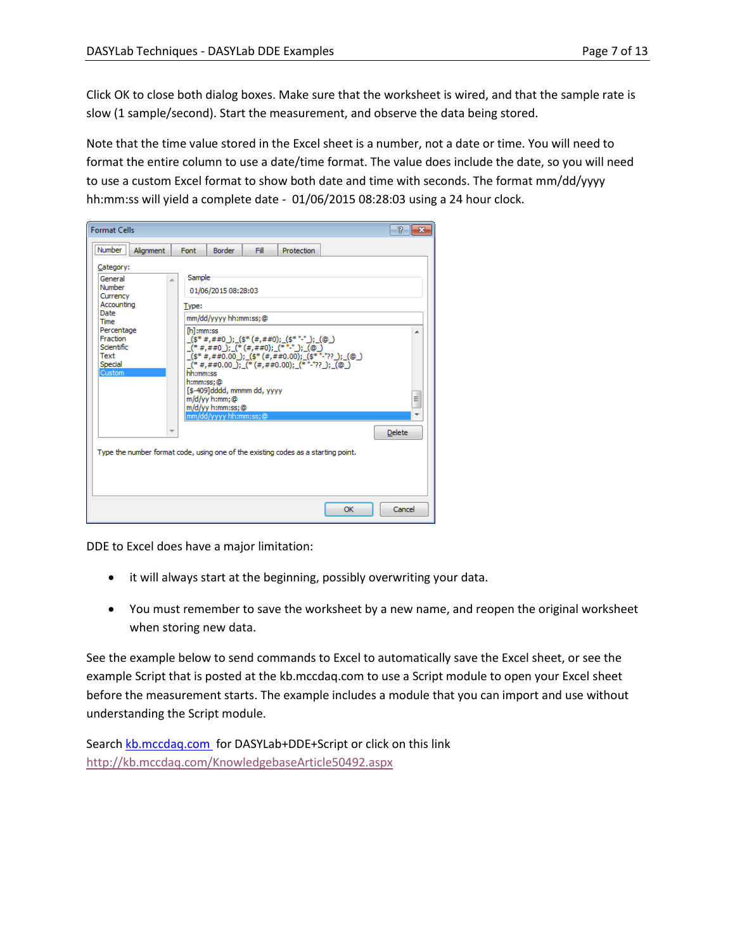Click OK to close both dialog boxes. Make sure that the worksheet is wired, and that the sample rate is slow (1 sample/second). Start the measurement, and observe the data being stored.

Note that the time value stored in the Excel sheet is a number, not a date or time. You will need to format the entire column to use a date/time format. The value does include the date, so you will need to use a custom Excel format to show both date and time with seconds. The format mm/dd/yyyy hh:mm:ss will yield a complete date - 01/06/2015 08:28:03 using a 24 hour clock.



DDE to Excel does have a major limitation:

- it will always start at the beginning, possibly overwriting your data.
- You must remember to save the worksheet by a new name, and reopen the original worksheet when storing new data.

See the example below to send commands to Excel to automatically save the Excel sheet, or see the example Script that is posted at the kb.mccdaq.com to use a Script module to open your Excel sheet before the measurement starts. The example includes a module that you can import and use without understanding the Script module.

Searc[h kb.mccdaq.com](file:///C:/Users/cjbutler/Documents/DASYLab/Technical%20Notes/Published/2015-01%20DDE%20Examples%20Technical%20note/kb.mccdaq.com) for DASYLab+DDE+Script or click on this link <http://kb.mccdaq.com/KnowledgebaseArticle50492.aspx>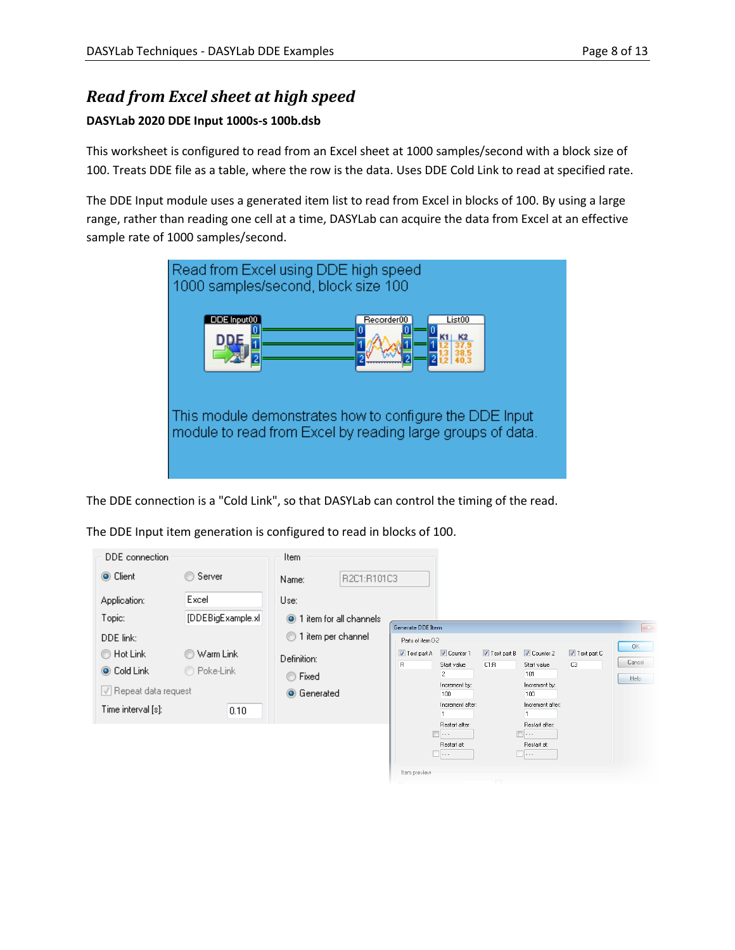# <span id="page-7-0"></span>*Read from Excel sheet at high speed*

#### **DASYLab 2020 DDE Input 1000s-s 100b.dsb**

This worksheet is configured to read from an Excel sheet at 1000 samples/second with a block size of 100. Treats DDE file as a table, where the row is the data. Uses DDE Cold Link to read at specified rate.

The DDE Input module uses a generated item list to read from Excel in blocks of 100. By using a large range, rather than reading one cell at a time, DASYLab can acquire the data from Excel at an effective sample rate of 1000 samples/second.



The DDE connection is a "Cold Link", so that DASYLab can control the timing of the read.

The DDE Input item generation is configured to read in blocks of 100.

| DDE connection                                             |                               | Item.                                           |                                                                                                                                                                                                                                                                            |                      |
|------------------------------------------------------------|-------------------------------|-------------------------------------------------|----------------------------------------------------------------------------------------------------------------------------------------------------------------------------------------------------------------------------------------------------------------------------|----------------------|
| C Client                                                   | ◎ Server                      | R2C1:R101C3<br>Name:                            |                                                                                                                                                                                                                                                                            |                      |
| Application:                                               | Excel                         | Use:                                            |                                                                                                                                                                                                                                                                            |                      |
| Topic:                                                     | [DDEBigExample.xl]            | 1 item for all channels                         |                                                                                                                                                                                                                                                                            |                      |
| DDE link:                                                  |                               | 1 item per channel<br>$\circ$                   | <b>Generate DDE Item</b><br>Parts of item 0-2                                                                                                                                                                                                                              | $\mathbb{R}$         |
| ◯ Hot Link<br>O Cold Link<br>$\sqrt{}$ Repeat data request | Warm Link<br>⊙<br>◯ Poke-Link | Definition:<br>Fixed<br>⊙<br><b>O</b> Generated | <b>V</b> Counter 1<br>Counter 2<br>$\triangledown$ Text part B<br>Text part C<br>Text part A<br>C <sub>3</sub><br>R<br>C1:R<br>Start value<br>Start value<br>$\overline{2}$<br>101<br>Increment by:<br>Increment by:<br>100<br>100<br>Increment after:<br>Increment after: | OK<br>Cancel<br>Help |
| Time interval [s]:                                         | 0.10                          |                                                 |                                                                                                                                                                                                                                                                            |                      |
|                                                            |                               |                                                 | Restart after:<br>Restart after:<br>41.<br>$- - -$                                                                                                                                                                                                                         |                      |
|                                                            |                               |                                                 | Restart at:<br>Restart at:<br>$\Box \cdots$<br>                                                                                                                                                                                                                            |                      |
|                                                            |                               |                                                 | Item preview                                                                                                                                                                                                                                                               |                      |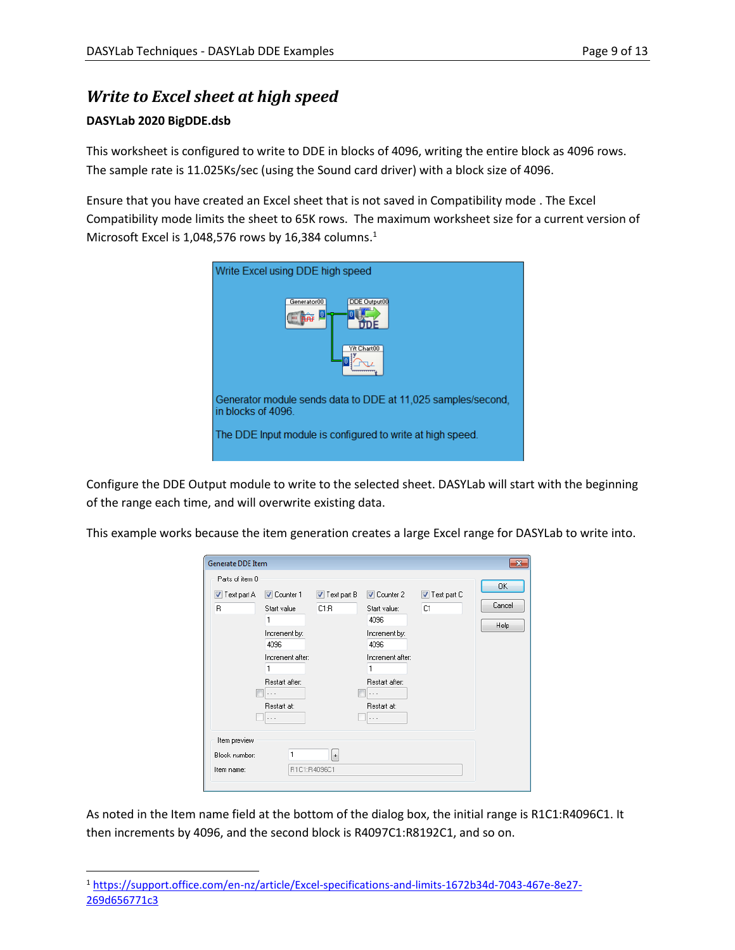# <span id="page-8-0"></span>*Write to Excel sheet at high speed*

#### **DASYLab 2020 BigDDE.dsb**

This worksheet is configured to write to DDE in blocks of 4096, writing the entire block as 4096 rows. The sample rate is 11.025Ks/sec (using the Sound card driver) with a block size of 4096.

Ensure that you have created an Excel sheet that is not saved in Compatibility mode . The Excel Compatibility mode limits the sheet to 65K rows. The maximum worksheet size for a current version of Microsoft Excel is 1,048,576 rows by 16,384 columns. 1

| Write Excel using DDE high speed                                                   |
|------------------------------------------------------------------------------------|
| <b>DDE Output00</b><br>Generator00                                                 |
| Y/t Chart00                                                                        |
| Generator module sends data to DDE at 11,025 samples/second,<br>in blocks of 4096. |
| The DDE Input module is configured to write at high speed.                         |

Configure the DDE Output module to write to the selected sheet. DASYLab will start with the beginning of the range each time, and will overwrite existing data.

This example works because the item generation creates a large Excel range for DASYLab to write into.

| Generate DDE Item                            |                                                                                                                              |                                     |                                                                                                                                                                   |                   | $\mathbf{x}$                       |
|----------------------------------------------|------------------------------------------------------------------------------------------------------------------------------|-------------------------------------|-------------------------------------------------------------------------------------------------------------------------------------------------------------------|-------------------|------------------------------------|
| Parts of item 0<br><b>√</b> Text part A<br>B | V Counter 1<br>Start value<br>1<br>Increment by:<br>4096<br>Increment after:<br>1<br>Restart after:<br>.<br>Restart at:<br>. | $\triangledown$ Text part B<br>C1:R | <b>√</b> Counter 2<br>Start value:<br>4096<br>Increment by:<br>4096<br>Increment after:<br>1<br>Restart after:<br>$\cdots$<br>Restart at:<br>$\sim$ $\sim$ $\sim$ | Text part C<br>C1 | <b>OK</b><br>Cancel<br><b>Help</b> |
| Item preview<br>Block number:<br>Item name:  |                                                                                                                              | $\ddot{}$<br>R1C1:R4096C1           |                                                                                                                                                                   |                   |                                    |

As noted in the Item name field at the bottom of the dialog box, the initial range is R1C1:R4096C1. It then increments by 4096, and the second block is R4097C1:R8192C1, and so on.

<sup>1</sup> [https://support.office.com/en-nz/article/Excel-specifications-and-limits-1672b34d-7043-467e-8e27-](https://support.office.com/en-nz/article/Excel-specifications-and-limits-1672b34d-7043-467e-8e27-269d656771c3) [269d656771c3](https://support.office.com/en-nz/article/Excel-specifications-and-limits-1672b34d-7043-467e-8e27-269d656771c3)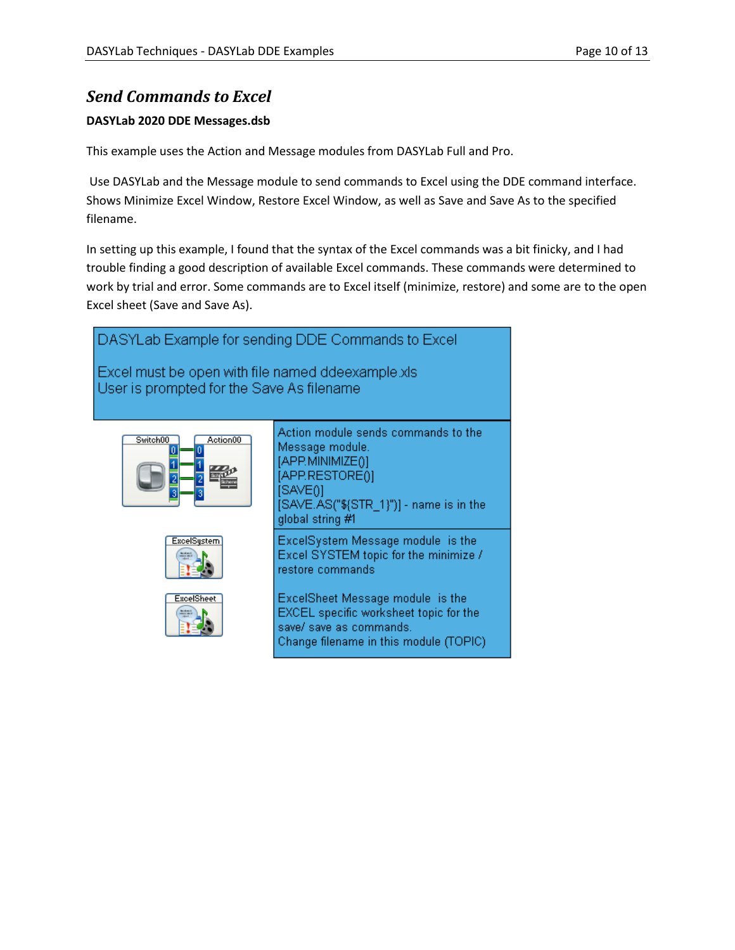### <span id="page-9-0"></span>*Send Commands to Excel*

#### **DASYLab 2020 DDE Messages.dsb**

This example uses the Action and Message modules from DASYLab Full and Pro.

Use DASYLab and the Message module to send commands to Excel using the DDE command interface. Shows Minimize Excel Window, Restore Excel Window, as well as Save and Save As to the specified filename.

In setting up this example, I found that the syntax of the Excel commands was a bit finicky, and I had trouble finding a good description of available Excel commands. These commands were determined to work by trial and error. Some commands are to Excel itself (minimize, restore) and some are to the open Excel sheet (Save and Save As).

<span id="page-9-1"></span>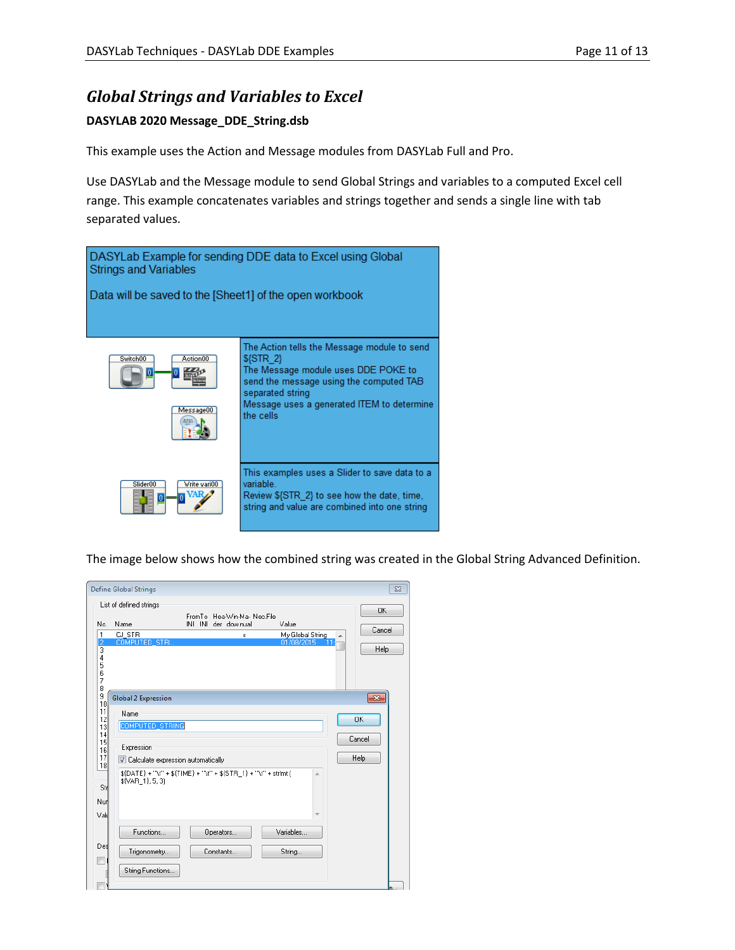#### *Global Strings and Variables to Excel*

#### **DASYLAB 2020 Message\_DDE\_String.dsb**

This example uses the Action and Message modules from DASYLab Full and Pro.

Use DASYLab and the Message module to send Global Strings and variables to a computed Excel cell range. This example concatenates variables and strings together and sends a single line with tab separated values.



The image below shows how the combined string was created in the Global String Advanced Definition.

<span id="page-10-0"></span>

|                       | <b>Define Global Strings</b>         |                                                             |                 | $\Sigma$     |
|-----------------------|--------------------------------------|-------------------------------------------------------------|-----------------|--------------|
|                       | List of defined strings              |                                                             |                 |              |
| No.                   | Name                                 | FromTo Hea-Win-Ma- Nec.File<br>INI INI der downual<br>Value |                 | 0K<br>Cancel |
| 1<br>2                | CJ STR<br><b>COMPUTED STRI</b>       | My Global String<br>x<br>01/08/2015                         | $\overline{11}$ |              |
| 4<br>5<br>6<br>7<br>8 |                                      |                                                             |                 | Help         |
| 9<br>10               | <b>Global 2 Expression</b>           |                                                             |                 | $-23$        |
| 11                    | Name                                 |                                                             | <b>OK</b>       |              |
| 12<br>13              | COMPUTED STRING                      |                                                             |                 |              |
| 14<br>15<br>16<br>17  | Expression                           |                                                             | Cancel          |              |
| 18                    | V Calculate expression automatically |                                                             | Help            |              |
| Str<br>Nurl<br>Vald   | \${VAR 1}, 5, 3}                     | $$(DATE) + "V" + $(TIME) + "V" + $(STR 1) + "V" + stfmt]$   | ×               |              |
|                       | Functions                            | Variables<br>Operators                                      |                 |              |
| Des                   | Trigonometry                         | Constants<br>String                                         |                 |              |
|                       | String Functions                     |                                                             |                 |              |
|                       |                                      |                                                             |                 | n.           |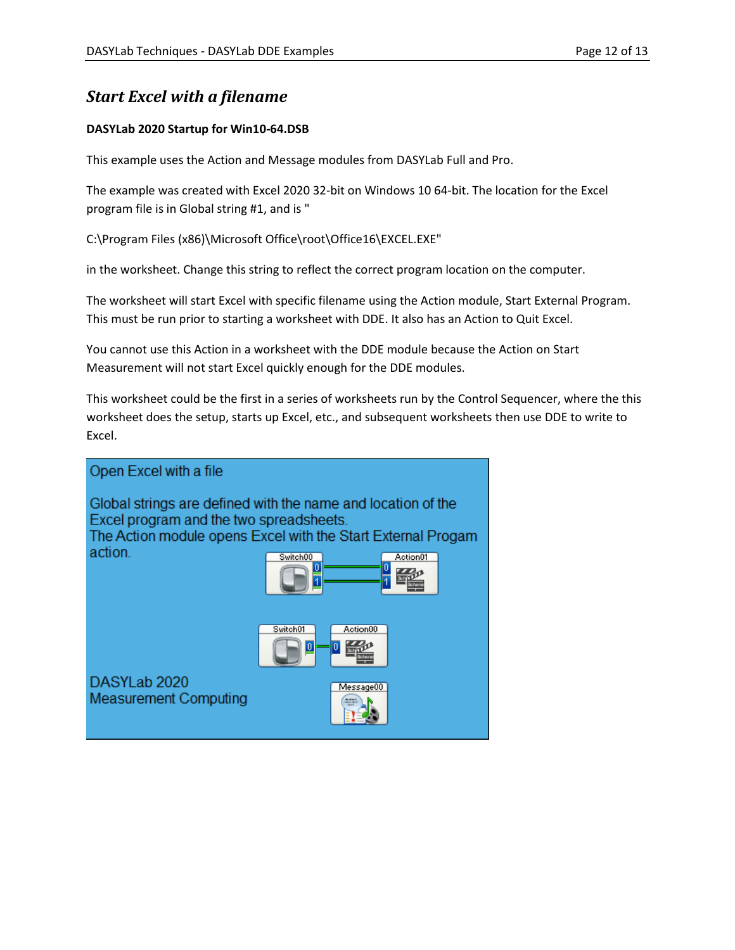### *Start Excel with a filename*

#### **DASYLab 2020 Startup for Win10-64.DSB**

This example uses the Action and Message modules from DASYLab Full and Pro.

The example was created with Excel 2020 32-bit on Windows 10 64-bit. The location for the Excel program file is in Global string #1, and is "

C:\Program Files (x86)\Microsoft Office\root\Office16\EXCEL.EXE"

in the worksheet. Change this string to reflect the correct program location on the computer.

The worksheet will start Excel with specific filename using the Action module, Start External Program. This must be run prior to starting a worksheet with DDE. It also has an Action to Quit Excel.

You cannot use this Action in a worksheet with the DDE module because the Action on Start Measurement will not start Excel quickly enough for the DDE modules.

This worksheet could be the first in a series of worksheets run by the Control Sequencer, where the this worksheet does the setup, starts up Excel, etc., and subsequent worksheets then use DDE to write to Excel.